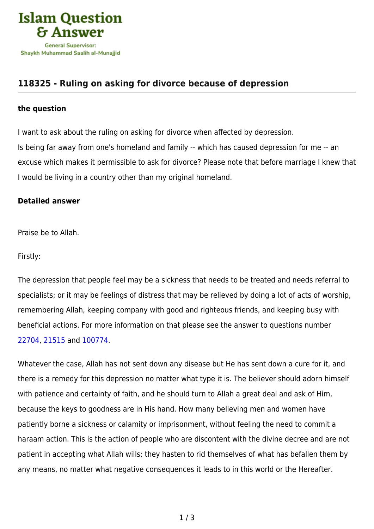

## **[118325 - Ruling on asking for divorce because of depression](https://islamqa.com/en/answers/118325/ruling-on-asking-for-divorce-because-of-depression)**

## **the question**

I want to ask about the ruling on asking for divorce when affected by depression. Is being far away from one's homeland and family -- which has caused depression for me -- an excuse which makes it permissible to ask for divorce? Please note that before marriage I knew that I would be living in a country other than my original homeland.

## **Detailed answer**

Praise be to Allah.

Firstly:

The depression that people feel may be a sickness that needs to be treated and needs referral to specialists; or it may be feelings of distress that may be relieved by doing a lot of acts of worship, remembering Allah, keeping company with good and righteous friends, and keeping busy with beneficial actions. For more information on that please see the answer to questions number [22704,](https://islamqa.com/en/answers/22704) [21515](https://islamqa.com/en/answers/21515) and [100774](https://islamqa.com/ar/answers/).

Whatever the case, Allah has not sent down any disease but He has sent down a cure for it, and there is a remedy for this depression no matter what type it is. The believer should adorn himself with patience and certainty of faith, and he should turn to Allah a great deal and ask of Him, because the keys to goodness are in His hand. How many believing men and women have patiently borne a sickness or calamity or imprisonment, without feeling the need to commit a haraam action. This is the action of people who are discontent with the divine decree and are not patient in accepting what Allah wills; they hasten to rid themselves of what has befallen them by any means, no matter what negative consequences it leads to in this world or the Hereafter.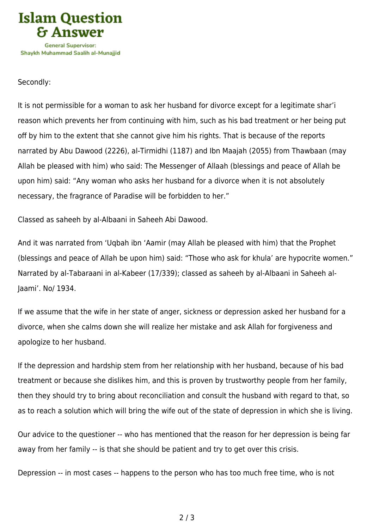

## Secondly:

It is not permissible for a woman to ask her husband for divorce except for a legitimate shar'i reason which prevents her from continuing with him, such as his bad treatment or her being put off by him to the extent that she cannot give him his rights. That is because of the reports narrated by Abu Dawood (2226), al-Tirmidhi (1187) and Ibn Maajah (2055) from Thawbaan (may Allah be pleased with him) who said: The Messenger of Allaah (blessings and peace of Allah be upon him) said: "Any woman who asks her husband for a divorce when it is not absolutely necessary, the fragrance of Paradise will be forbidden to her."

Classed as saheeh by al-Albaani in Saheeh Abi Dawood.

And it was narrated from 'Uqbah ibn 'Aamir (may Allah be pleased with him) that the Prophet (blessings and peace of Allah be upon him) said: "Those who ask for khula' are hypocrite women." Narrated by al-Tabaraani in al-Kabeer (17/339); classed as saheeh by al-Albaani in Saheeh al-Jaami'. No/ 1934.

If we assume that the wife in her state of anger, sickness or depression asked her husband for a divorce, when she calms down she will realize her mistake and ask Allah for forgiveness and apologize to her husband.

If the depression and hardship stem from her relationship with her husband, because of his bad treatment or because she dislikes him, and this is proven by trustworthy people from her family, then they should try to bring about reconciliation and consult the husband with regard to that, so as to reach a solution which will bring the wife out of the state of depression in which she is living.

Our advice to the questioner -- who has mentioned that the reason for her depression is being far away from her family -- is that she should be patient and try to get over this crisis.

Depression -- in most cases -- happens to the person who has too much free time, who is not